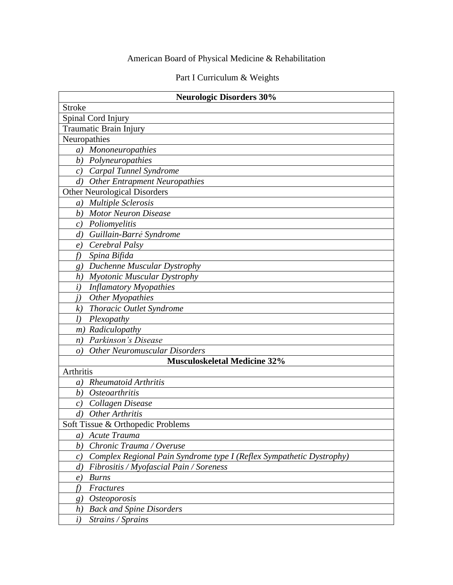# American Board of Physical Medicine & Rehabilitation

# Part I Curriculum & Weights

| <b>Neurologic Disorders 30%</b>                                            |  |  |
|----------------------------------------------------------------------------|--|--|
| <b>Stroke</b>                                                              |  |  |
| Spinal Cord Injury                                                         |  |  |
| Traumatic Brain Injury                                                     |  |  |
| Neuropathies                                                               |  |  |
| a) Mononeuropathies                                                        |  |  |
| b) Polyneuropathies                                                        |  |  |
| c) Carpal Tunnel Syndrome                                                  |  |  |
| $\left( d\right)$<br><b>Other Entrapment Neuropathies</b>                  |  |  |
| <b>Other Neurological Disorders</b>                                        |  |  |
| a) Multiple Sclerosis                                                      |  |  |
| <b>Motor Neuron Disease</b><br>b)                                          |  |  |
| Poliomyelitis<br>c)                                                        |  |  |
| Guillain-Barré Syndrome<br>d)                                              |  |  |
| Cerebral Palsy<br>e)                                                       |  |  |
| Spina Bifida<br>f)                                                         |  |  |
| Duchenne Muscular Dystrophy<br>8)                                          |  |  |
| Myotonic Muscular Dystrophy<br>h)                                          |  |  |
| <b>Inflamatory Myopathies</b><br>$\left(i\right)$                          |  |  |
| $\dot{I}$ )<br>Other Myopathies                                            |  |  |
| Thoracic Outlet Syndrome<br>k)                                             |  |  |
| l)<br>Plexopathy                                                           |  |  |
| m) Radiculopathy                                                           |  |  |
| Parkinson's Disease<br>n)                                                  |  |  |
| <b>Other Neuromuscular Disorders</b><br>$\overline{O}$                     |  |  |
| <b>Musculoskeletal Medicine 32%</b>                                        |  |  |
| Arthritis                                                                  |  |  |
| <b>Rheumatoid Arthritis</b><br>a)                                          |  |  |
| <i>Osteoarthritis</i><br>b)                                                |  |  |
| Collagen Disease<br>$\epsilon$ )                                           |  |  |
| Other Arthritis<br>$\left( d\right)$                                       |  |  |
| Soft Tissue & Orthopedic Problems                                          |  |  |
| Acute Trauma<br>a)                                                         |  |  |
| Chronic Trauma / Overuse<br>b)                                             |  |  |
| Complex Regional Pain Syndrome type I (Reflex Sympathetic Dystrophy)<br>c) |  |  |
| Fibrositis / Myofascial Pain / Soreness<br>$\left( d\right)$               |  |  |
| <b>Burns</b><br>e)                                                         |  |  |
| f)<br>Fractures                                                            |  |  |
| <i>Osteoporosis</i><br>g)                                                  |  |  |
| <b>Back and Spine Disorders</b><br>h)                                      |  |  |
| $\left(i\right)$<br>Strains / Sprains                                      |  |  |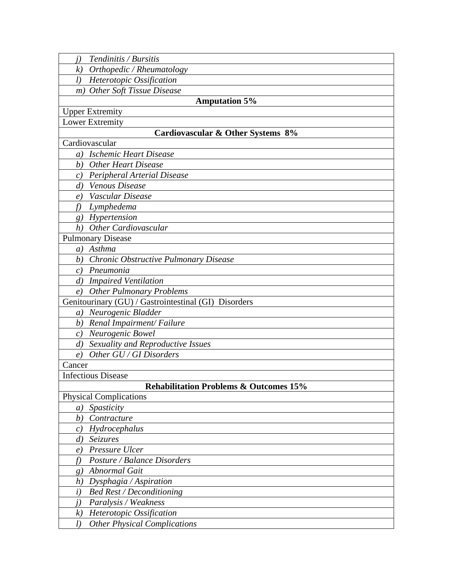| Tendinitis / Bursitis |
|-----------------------|
|                       |

*k) Orthopedic / Rheumatology*

*l) Heterotopic Ossification*

*m) Other Soft Tissue Disease*

### **Amputation 5%**

Upper Extremity

Lower Extremity

#### **Cardiovascular & Other Systems 8%**

Cardiovascular

*a) Ischemic Heart Disease*

*b) Other Heart Disease*

*c) Peripheral Arterial Disease*

*d) Venous Disease*

*e) Vascular Disease*

*f) Lymphedema*

*g) Hypertension*

*h) Other Cardiovascular*

Pulmonary Disease

*a) Asthma*

*b) Chronic Obstructive Pulmonary Disease*

*c) Pneumonia*

*d) Impaired Ventilation*

*e) Other Pulmonary Problems*

Genitourinary (GU) / Gastrointestinal (GI) Disorders

*a) Neurogenic Bladder*

*b) Renal Impairment/ Failure*

*c) Neurogenic Bowel*

*d) Sexuality and Reproductive Issues*

*e) Other GU / GI Disorders*

Cancer

Infectious Disease

#### **Rehabilitation Problems & Outcomes 15%**

| <b>Physical Complications</b>    |
|----------------------------------|
| Spasticity<br>a)                 |
| Contracture<br>b)                |
| Hydrocephalus<br>C)              |
| <i>Seizures</i><br>d)            |
| Pressure Ulcer<br>$\ell$         |
| Posture / Balance Disorders      |
| Abnormal Gait<br>g,              |
| $D$ ysphagia / Aspiration<br>h)  |
| <b>Bed Rest / Deconditioning</b> |
| Paralysis / Weakness             |
|                                  |

*k) Heterotopic Ossification*

*l) Other Physical Complications*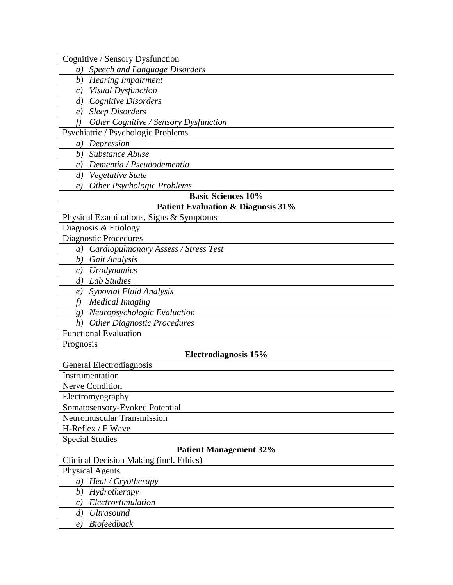*a) Speech and Language Disorders*

*b) Hearing Impairment*

*c) Visual Dysfunction*

*d) Cognitive Disorders*

*e) Sleep Disorders*

*f) Other Cognitive / Sensory Dysfunction*

Psychiatric / Psychologic Problems

*a) Depression*

*b) Substance Abuse*

*c) Dementia / Pseudodementia*

*d) Vegetative State*

*e) Other Psychologic Problems*

## **Basic Sciences 10%**

**Patient Evaluation & Diagnosis 31%**

Physical Examinations, Signs & Symptoms

Diagnosis & Etiology

Diagnostic Procedures

*a) Cardiopulmonary Assess / Stress Test*

*b) Gait Analysis*

*c) Urodynamics*

*d) Lab Studies*

*e) Synovial Fluid Analysis*

*f) Medical Imaging*

*g) Neuropsychologic Evaluation*

*h) Other Diagnostic Procedures*

Functional Evaluation

**Electrodiagnosis 15%**

General Electrodiagnosis

Instrumentation

Prognosis

Nerve Condition

Electromyography

Somatosensory-Evoked Potential

Neuromuscular Transmission

H-Reflex / F Wave

Special Studies

#### **Patient Management 32%**

Clinical Decision Making (incl. Ethics)

Physical Agents

*a) Heat / Cryotherapy*

*b) Hydrotherapy*

*c) Electrostimulation*

*d) Ultrasound*

*e) Biofeedback*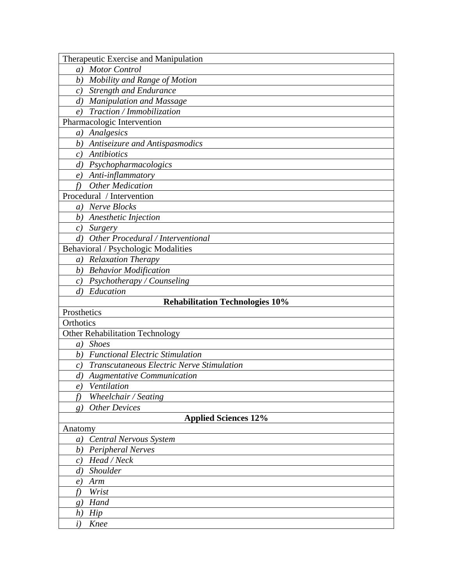| Therapeutic Exercise and Manipulation                  |
|--------------------------------------------------------|
| <b>Motor Control</b><br>a)                             |
| Mobility and Range of Motion<br>b)                     |
| <b>Strength and Endurance</b><br>c)                    |
| <b>Manipulation and Massage</b><br>$\left( d\right)$   |
| Traction / Immobilization<br>$\epsilon$ )              |
| Pharmacologic Intervention                             |
| a) Analgesics                                          |
| b) Antiseizure and Antispasmodics                      |
| <b>Antibiotics</b><br>c)                               |
| Psychopharmacologics<br>$\left( d\right)$              |
| Anti-inflammatory<br>e)                                |
| <b>Other Medication</b><br>f)                          |
| Procedural / Intervention                              |
| Nerve Blocks<br>a)                                     |
| b) Anesthetic Injection                                |
| c) Surgery                                             |
| Other Procedural / Interventional<br>d)                |
| Behavioral / Psychologic Modalities                    |
| <b>Relaxation Therapy</b><br>a)                        |
| <b>Behavior Modification</b><br>b)                     |
| c) Psychotherapy / Counseling                          |
| Education<br>$\left( d\right)$                         |
| <b>Rehabilitation Technologies 10%</b>                 |
| Prosthetics                                            |
| Orthotics                                              |
| <b>Other Rehabilitation Technology</b>                 |
| <b>Shoes</b><br>$\left( a\right)$                      |
| <b>Functional Electric Stimulation</b><br>b)           |
| <b>Transcutaneous Electric Nerve Stimulation</b><br>c) |
| $\left( d\right)$<br><b>Augmentative Communication</b> |
| Ventilation<br>e)                                      |
| f<br>Wheelchair / Seating                              |
| <b>Other Devices</b><br>g)                             |
| <b>Applied Sciences 12%</b>                            |
| Anatomy                                                |
| <b>Central Nervous System</b><br>$\left( a\right)$     |
| Peripheral Nerves<br>b)                                |
| Head / Neck<br>c)                                      |
| d) Shoulder                                            |
| Arm<br>$\epsilon$ )                                    |
| Wrist<br>f)                                            |
| Hand<br>g)                                             |
| h)<br>Hip                                              |
| $\dot{i}$<br>Knee                                      |